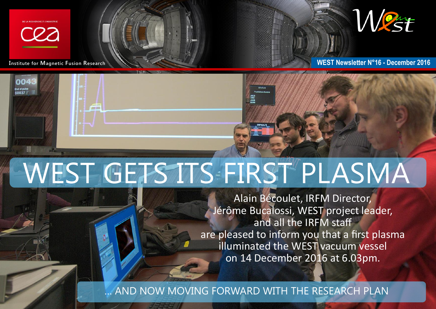

004





**Institute for Magnetic Fusion Research No. 2016** 

## WEST GETS ITS FIRST PLASMA

Alain Bécoulet, IRFM Director, Jérôme Bucalossi, WEST project leader, and all the IRFM staff are pleased to inform you that a first plasma illuminated the WEST vacuum vessel on 14 December 2016 at 6.03pm.

AND NOW MOVING FORWARD WITH THE RESEARCH PLAN